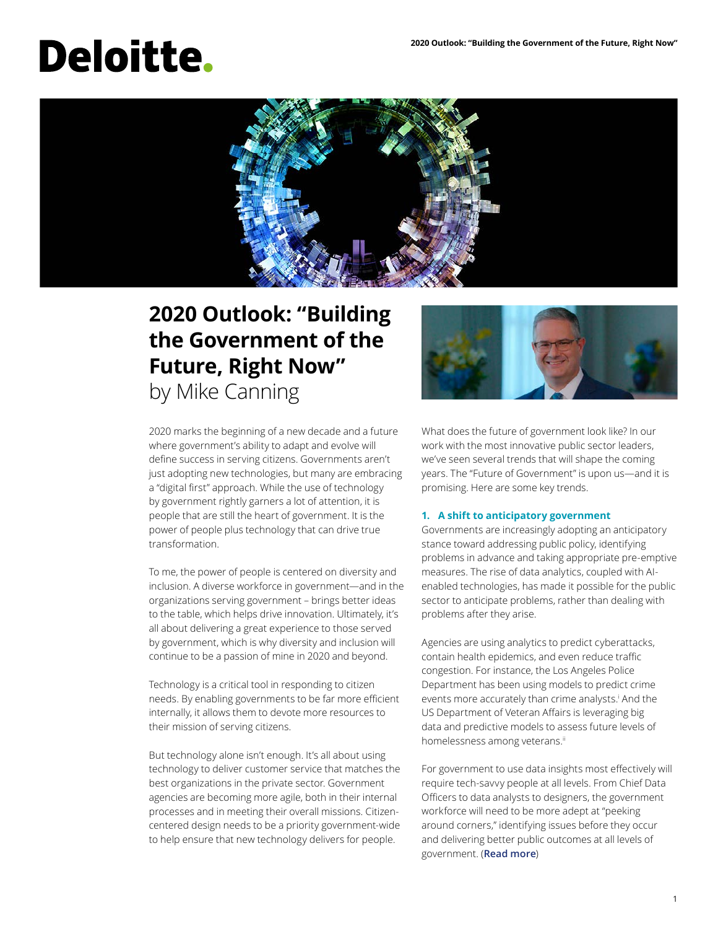# **Deloitte.**



### **2020 Outlook: "Building the Government of the Future, Right Now"** by Mike Canning



2020 marks the beginning of a new decade and a future where government's ability to adapt and evolve will define success in serving citizens. Governments aren't just adopting new technologies, but many are embracing a "digital first" approach. While the use of technology by government rightly garners a lot of attention, it is people that are still the heart of government. It is the power of people plus technology that can drive true transformation.

To me, the power of people is centered on diversity and inclusion. A diverse workforce in government—and in the organizations serving government – brings better ideas to the table, which helps drive innovation. Ultimately, it's all about delivering a great experience to those served by government, which is why diversity and inclusion will continue to be a passion of mine in 2020 and beyond.

Technology is a critical tool in responding to citizen needs. By enabling governments to be far more efficient internally, it allows them to devote more resources to their mission of serving citizens.

But technology alone isn't enough. It's all about using technology to deliver customer service that matches the best organizations in the private sector. Government agencies are becoming more agile, both in their internal processes and in meeting their overall missions. Citizencentered design needs to be a priority government-wide to help ensure that new technology delivers for people.

What does the future of government look like? In our work with the most innovative public sector leaders, we've seen several trends that will shape the coming years. The "Future of Government" is upon us—and it is promising. Here are some key trends.

#### **1. [A shift to anticipatory government](https://www2.deloitte.com/us/en/insights/industry/public-sector/government-trends/2020/predictive-analytics-in-government.html)**

Governments are increasingly adopting an anticipatory stance toward addressing public policy, identifying problems in advance and taking appropriate pre-emptive measures. The rise of data analytics, coupled with AIenabled technologies, has made it possible for the public sector to anticipate problems, rather than dealing with problems after they arise.

Agencies are using analytics to predict cyberattacks, contain health epidemics, and even reduce traffic congestion. For instance, the Los Angeles Police Department has been using models to predict crime events more accurately than crime analysts.<sup>i</sup> And the US Department of Veteran Affairs is leveraging big data and predictive models to assess future levels of homelessness among veterans.<sup>ii</sup>

For government to use data insights most effectively will require tech-savvy people at all levels. From Chief Data Officers to data analysts to designers, the government workforce will need to be more adept at "peeking around corners," identifying issues before they occur and delivering better public outcomes at all levels of government. (**[Read more](https://www2.deloitte.com/us/en/insights/industry/public-sector/government-trends/2020/predictive-analytics-in-government.html)**)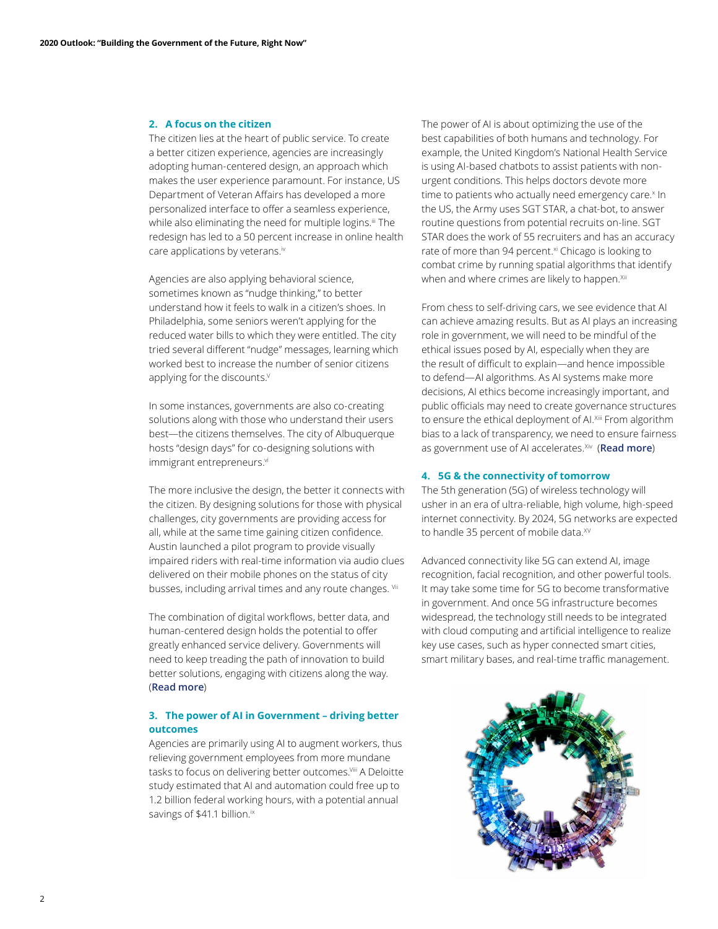#### **2. [A focus on the citizen](https://www2.deloitte.com/us/en/insights/industry/public-sector/government-trends/2020/citizen-experience-in-government.html)**

The citizen lies at the heart of public service. To create a better citizen experience, agencies are increasingly adopting human-centered design, an approach which makes the user experience paramount. For instance, US Department of Veteran Affairs has developed a more personalized interface to offer a seamless experience, while also eliminating the need for multiple logins.<sup>iii</sup> The redesign has led to a 50 percent increase in online health care applications by veterans.<sup>iv</sup>

Agencies are also applying behavioral science, sometimes known as "nudge thinking," to better understand how it feels to walk in a citizen's shoes. In Philadelphia, some seniors weren't applying for the reduced water bills to which they were entitled. The city tried several different "nudge" messages, learning which worked best to increase the number of senior citizens applying for the discounts.<sup>V</sup>

In some instances, governments are also co-creating solutions along with those who understand their users best—the citizens themselves. The city of Albuquerque hosts "design days" for co-designing solutions with immigrant entrepreneurs.vi

The more inclusive the design, the better it connects with the citizen. By designing solutions for those with physical challenges, city governments are providing access for all, while at the same time gaining citizen confidence. Austin launched a pilot program to provide visually impaired riders with real-time information via audio clues delivered on their mobile phones on the status of city busses, including arrival times and any route changes. Vii

The combination of digital workflows, better data, and human-centered design holds the potential to offer greatly enhanced service delivery. Governments will need to keep treading the path of innovation to build better solutions, engaging with citizens along the way. (**[Read more](https://www2.deloitte.com/us/en/insights/industry/public-sector/government-trends/2020/citizen-experience-in-government.html)**)

#### **3. [The power of AI in Government – driving better](https://www2.deloitte.com/us/en/insights/focus/artificial-intelligence-in-government.html)  [outcomes](https://www2.deloitte.com/us/en/insights/focus/artificial-intelligence-in-government.html)**

Agencies are primarily using AI to augment workers, thus relieving government employees from more mundane tasks to focus on delivering better outcomes.<sup>Viii</sup> A Deloitte study estimated that AI and automation could free up to 1.2 billion federal working hours, with a potential annual savings of \$41.1 billion.<sup>ix</sup>

The power of AI is about optimizing the use of the best capabilities of both humans and technology. For example, the United Kingdom's National Health Service is using AI-based chatbots to assist patients with nonurgent conditions. This helps doctors devote more time to patients who actually need emergency care.<sup>x</sup> In the US, the Army uses SGT STAR, a chat-bot, to answer routine questions from potential recruits on-line. SGT STAR does the work of 55 recruiters and has an accuracy rate of more than 94 percent.<sup>xi</sup> Chicago is looking to combat crime by running spatial algorithms that identify when and where crimes are likely to happen.<sup>Xii</sup>

From chess to self-driving cars, we see evidence that AI can achieve amazing results. But as AI plays an increasing role in government, we will need to be mindful of the ethical issues posed by AI, especially when they are the result of difficult to explain—and hence impossible to defend—AI algorithms. As AI systems make more decisions, AI ethics become increasingly important, and public officials may need to create governance structures to ensure the ethical deployment of AI.<sup>Xiii</sup> From algorithm bias to a lack of transparency, we need to ensure fairness as government use of AI accelerates.<sup>Xiv</sup> ([Read more](https://www2.deloitte.com/us/en/insights/focus/artificial-intelligence-in-government.html))

#### **4. [5G & the connectivity of tomorrow](https://www2.deloitte.com/us/en/insights/industry/public-sector/the-promise-of-smart-rural-communities.html)**

The 5th generation (5G) of wireless technology will usher in an era of ultra-reliable, high volume, high-speed internet connectivity. By 2024, 5G networks are expected to handle 35 percent of mobile data.<sup>XV</sup>

Advanced connectivity like 5G can extend AI, image recognition, facial recognition, and other powerful tools. It may take some time for 5G to become transformative in government. And once 5G infrastructure becomes widespread, the technology still needs to be integrated with cloud computing and artificial intelligence to realize key use cases, such as hyper connected smart cities, smart military bases, and real-time traffic management.